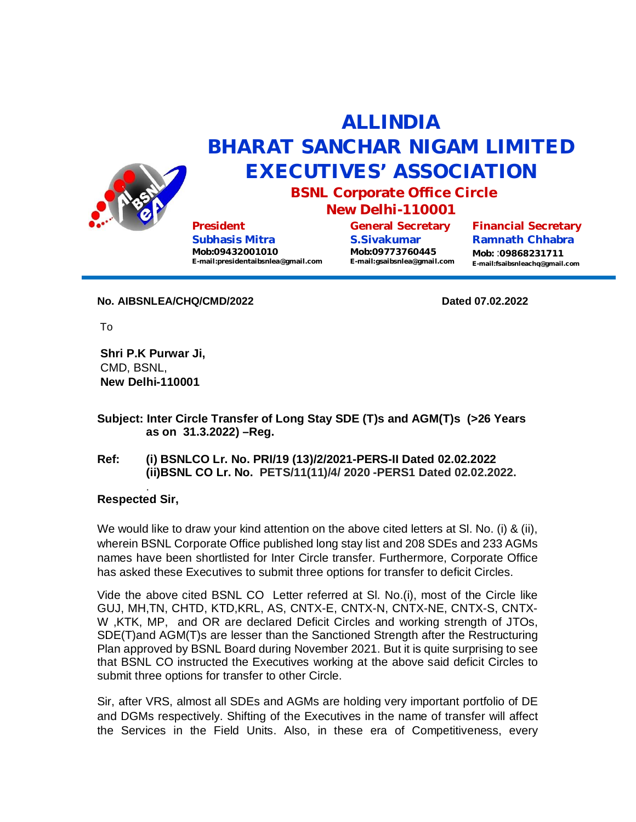

## **ALLINDIA BHARAT SANCHAR NIGAM LIMITED EXECUTIVES' ASSOCIATION**

**BSNL Corporate Office Circle**

**President Subhasis Mitra Mob:09432001010 [E-mail:presidentaibsnlea@gmail.com](mailto:E-mail:presidentaibsnlea@gmail.com)**

**New Delhi-110001**

**General Secretary S.Sivakumar Mob:09773760445 [E-mail:gsaibsnlea@gmail.com](mailto:E-mail:gsaibsnlea@gmail.com)** **Financial Secretary Ramnath Chhabra Mob:** :**09868231711 [E-mail:fsaibsnleachq@gmail.com](mailto:E-mail:fsaibsnleachq@gmail.com)**

**No. AIBSNLEA/CHQ/CMD/2022 Dated 07.02.2022** 

To

**Shri P.K Purwar Ji,** CMD, BSNL, **New Delhi-110001**

**Subject: Inter Circle Transfer of Long Stay SDE (T)s and AGM(T)s (>26 Years as on 31.3.2022) –Reg.**

## **Ref: (i) BSNLCO Lr. No. PRI/19 (13)/2/2021-PERS-II Dated 02.02.2022 (ii)BSNL CO Lr. No. PETS/11(11)/4/ 2020 -PERS1 Dated 02.02.2022.**

## . **Respected Sir,**

We would like to draw your kind attention on the above cited letters at SI. No. (i) & (ii), wherein BSNL Corporate Office published long stay list and 208 SDEs and 233 AGMs names have been shortlisted for Inter Circle transfer. Furthermore, Corporate Office has asked these Executives to submit three options for transfer to deficit Circles.

Vide the above cited BSNL CO Letter referred at Sl. No.(i), most of the Circle like GUJ, MH,TN, CHTD, KTD,KRL, AS, CNTX-E, CNTX-N, CNTX-NE, CNTX-S, CNTX-W ,KTK, MP, and OR are declared Deficit Circles and working strength of JTOs, SDE(T)and AGM(T)s are lesser than the Sanctioned Strength after the Restructuring Plan approved by BSNL Board during November 2021. But it is quite surprising to see that BSNL CO instructed the Executives working at the above said deficit Circles to submit three options for transfer to other Circle.

Sir, after VRS, almost all SDEs and AGMs are holding very important portfolio of DE and DGMs respectively. Shifting of the Executives in the name of transfer will affect the Services in the Field Units. Also, in these era of Competitiveness, every